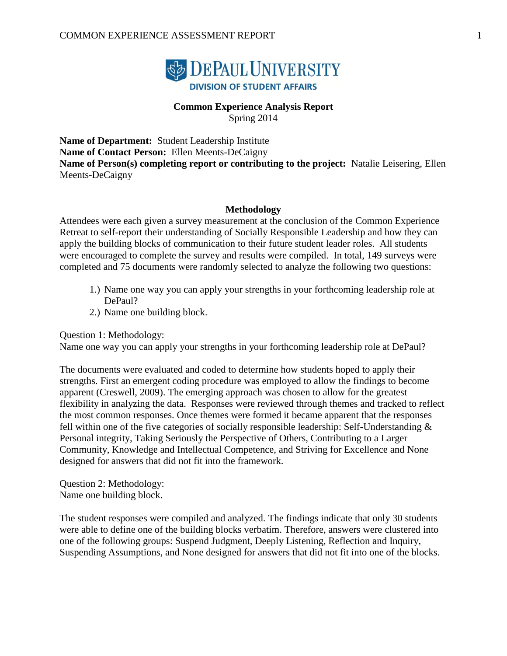

# **Common Experience Analysis Report**

Spring 2014

**Name of Department:** Student Leadership Institute **Name of Contact Person:** Ellen Meents-DeCaigny **Name of Person(s) completing report or contributing to the project:** Natalie Leisering, Ellen Meents-DeCaigny

#### **Methodology**

Attendees were each given a survey measurement at the conclusion of the Common Experience Retreat to self-report their understanding of Socially Responsible Leadership and how they can apply the building blocks of communication to their future student leader roles. All students were encouraged to complete the survey and results were compiled. In total, 149 surveys were completed and 75 documents were randomly selected to analyze the following two questions:

- 1.) Name one way you can apply your strengths in your forthcoming leadership role at DePaul?
- 2.) Name one building block.

Question 1: Methodology:

Name one way you can apply your strengths in your forthcoming leadership role at DePaul?

The documents were evaluated and coded to determine how students hoped to apply their strengths. First an emergent coding procedure was employed to allow the findings to become apparent (Creswell, 2009). The emerging approach was chosen to allow for the greatest flexibility in analyzing the data. Responses were reviewed through themes and tracked to reflect the most common responses. Once themes were formed it became apparent that the responses fell within one of the five categories of socially responsible leadership: Self-Understanding & Personal integrity, Taking Seriously the Perspective of Others, Contributing to a Larger Community, Knowledge and Intellectual Competence, and Striving for Excellence and None designed for answers that did not fit into the framework.

Question 2: Methodology: Name one building block.

The student responses were compiled and analyzed. The findings indicate that only 30 students were able to define one of the building blocks verbatim. Therefore, answers were clustered into one of the following groups: Suspend Judgment, Deeply Listening, Reflection and Inquiry, Suspending Assumptions, and None designed for answers that did not fit into one of the blocks.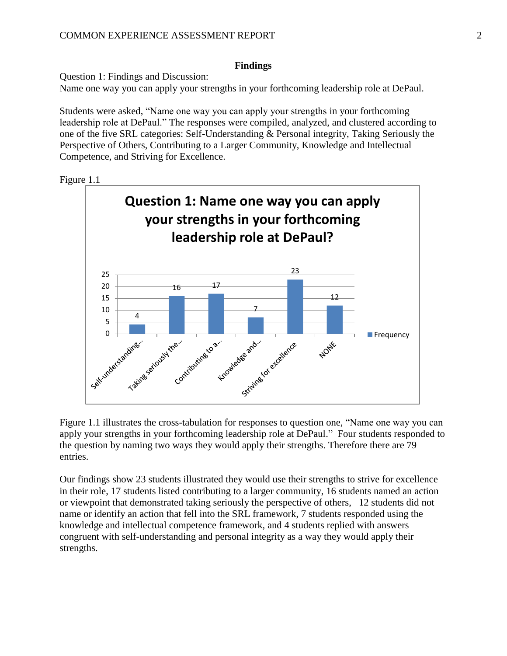### **Findings**

Question 1: Findings and Discussion: Name one way you can apply your strengths in your forthcoming leadership role at DePaul.

Students were asked, "Name one way you can apply your strengths in your forthcoming leadership role at DePaul." The responses were compiled, analyzed, and clustered according to one of the five SRL categories: Self-Understanding & Personal integrity, Taking Seriously the Perspective of Others, Contributing to a Larger Community, Knowledge and Intellectual Competence, and Striving for Excellence.





Figure 1.1 illustrates the cross-tabulation for responses to question one, "Name one way you can apply your strengths in your forthcoming leadership role at DePaul." Four students responded to the question by naming two ways they would apply their strengths. Therefore there are 79 entries.

Our findings show 23 students illustrated they would use their strengths to strive for excellence in their role, 17 students listed contributing to a larger community, 16 students named an action or viewpoint that demonstrated taking seriously the perspective of others, 12 students did not name or identify an action that fell into the SRL framework, 7 students responded using the knowledge and intellectual competence framework, and 4 students replied with answers congruent with self-understanding and personal integrity as a way they would apply their strengths.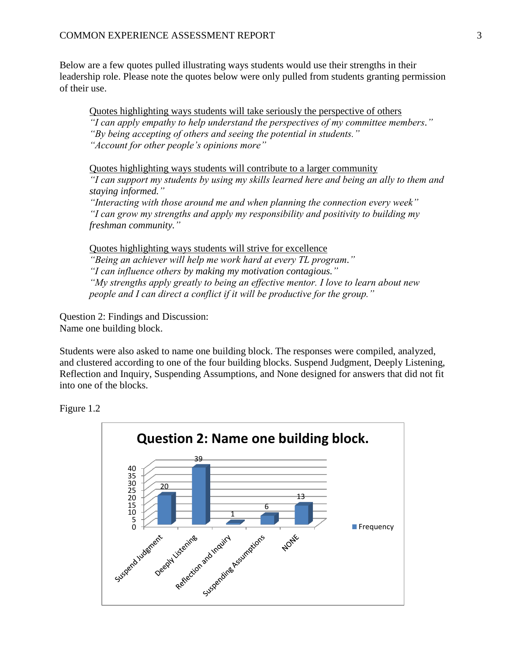Below are a few quotes pulled illustrating ways students would use their strengths in their leadership role. Please note the quotes below were only pulled from students granting permission of their use.

Quotes highlighting ways students will take seriously the perspective of others *"I can apply empathy to help understand the perspectives of my committee members." "By being accepting of others and seeing the potential in students." "Account for other people's opinions more"*

Quotes highlighting ways students will contribute to a larger community *"I can support my students by using my skills learned here and being an ally to them and staying informed."*

*"Interacting with those around me and when planning the connection every week" "I can grow my strengths and apply my responsibility and positivity to building my freshman community."*

Quotes highlighting ways students will strive for excellence *"Being an achiever will help me work hard at every TL program." "I can influence others by making my motivation contagious." "My strengths apply greatly to being an effective mentor. I love to learn about new people and I can direct a conflict if it will be productive for the group."*

Question 2: Findings and Discussion: Name one building block.

Students were also asked to name one building block. The responses were compiled, analyzed, and clustered according to one of the four building blocks. Suspend Judgment, Deeply Listening, Reflection and Inquiry, Suspending Assumptions, and None designed for answers that did not fit into one of the blocks.



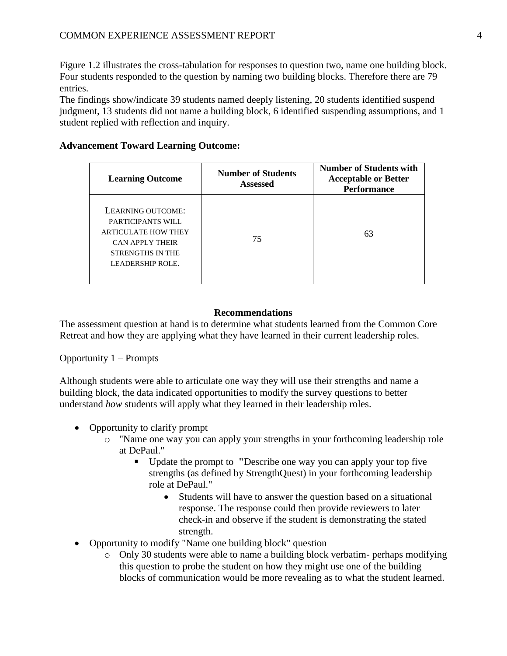Figure 1.2 illustrates the cross-tabulation for responses to question two, name one building block. Four students responded to the question by naming two building blocks. Therefore there are 79 entries.

The findings show/indicate 39 students named deeply listening, 20 students identified suspend judgment, 13 students did not name a building block, 6 identified suspending assumptions, and 1 student replied with reflection and inquiry.

| <b>Learning Outcome</b>                                                                                                                | <b>Number of Students</b><br><b>Assessed</b> | <b>Number of Students with</b><br><b>Acceptable or Better</b><br><b>Performance</b> |
|----------------------------------------------------------------------------------------------------------------------------------------|----------------------------------------------|-------------------------------------------------------------------------------------|
| LEARNING OUTCOME:<br>PARTICIPANTS WILL<br><b>ARTICULATE HOW THEY</b><br>CAN APPLY THEIR<br><b>STRENGTHS IN THE</b><br>LEADERSHIP ROLE. | 75                                           | 63                                                                                  |

# **Advancement Toward Learning Outcome:**

#### **Recommendations**

The assessment question at hand is to determine what students learned from the Common Core Retreat and how they are applying what they have learned in their current leadership roles.

#### Opportunity 1 – Prompts

Although students were able to articulate one way they will use their strengths and name a building block, the data indicated opportunities to modify the survey questions to better understand *how* students will apply what they learned in their leadership roles.

- Opportunity to clarify prompt
	- o "Name one way you can apply your strengths in your forthcoming leadership role at DePaul."
		- Update the prompt to **"**Describe one way you can apply your top five strengths (as defined by StrengthQuest) in your forthcoming leadership role at DePaul."
			- Students will have to answer the question based on a situational response. The response could then provide reviewers to later check-in and observe if the student is demonstrating the stated strength.
- Opportunity to modify "Name one building block" question
	- $\circ$  Only 30 students were able to name a building block verbatim- perhaps modifying this question to probe the student on how they might use one of the building blocks of communication would be more revealing as to what the student learned.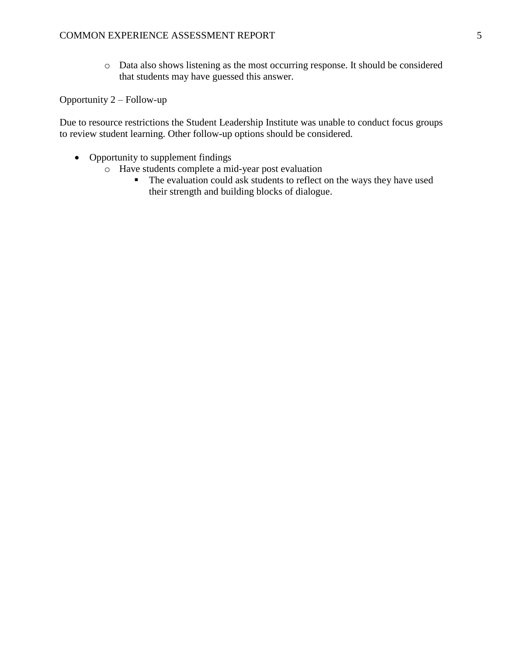o Data also shows listening as the most occurring response. It should be considered that students may have guessed this answer.

Opportunity 2 – Follow-up

Due to resource restrictions the Student Leadership Institute was unable to conduct focus groups to review student learning. Other follow-up options should be considered.

- Opportunity to supplement findings
	- o Have students complete a mid-year post evaluation
		- The evaluation could ask students to reflect on the ways they have used their strength and building blocks of dialogue.